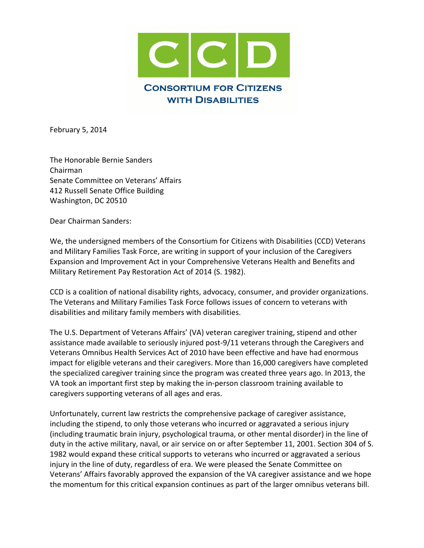

February 5, 2014

The Honorable Bernie Sanders Chairman Senate Committee on Veterans' Affairs 412 Russell Senate Office Building Washington, DC 20510

Dear Chairman Sanders:

We, the undersigned members of the Consortium for Citizens with Disabilities (CCD) Veterans and Military Families Task Force, are writing in support of your inclusion of the Caregivers Expansion and Improvement Act in your Comprehensive Veterans Health and Benefits and Military Retirement Pay Restoration Act of 2014 (S. 1982).

CCD is a coalition of national disability rights, advocacy, consumer, and provider organizations. The Veterans and Military Families Task Force follows issues of concern to veterans with disabilities and military family members with disabilities.

The U.S. Department of Veterans Affairs' (VA) veteran caregiver training, stipend and other assistance made available to seriously injured post-9/11 veterans through the Caregivers and Veterans Omnibus Health Services Act of 2010 have been effective and have had enormous impact for eligible veterans and their caregivers. More than 16,000 caregivers have completed the specialized caregiver training since the program was created three years ago. In 2013, the VA took an important first step by making the in-person classroom training available to caregivers supporting veterans of all ages and eras.

Unfortunately, current law restricts the comprehensive package of caregiver assistance, including the stipend, to only those veterans who incurred or aggravated a serious injury (including traumatic brain injury, psychological trauma, or other mental disorder) in the line of duty in the active military, naval, or air service on or after September 11, 2001. Section 304 of S. 1982 would expand these critical supports to veterans who incurred or aggravated a serious injury in the line of duty, regardless of era. We were pleased the Senate Committee on Veterans' Affairs favorably approved the expansion of the VA caregiver assistance and we hope the momentum for this critical expansion continues as part of the larger omnibus veterans bill.